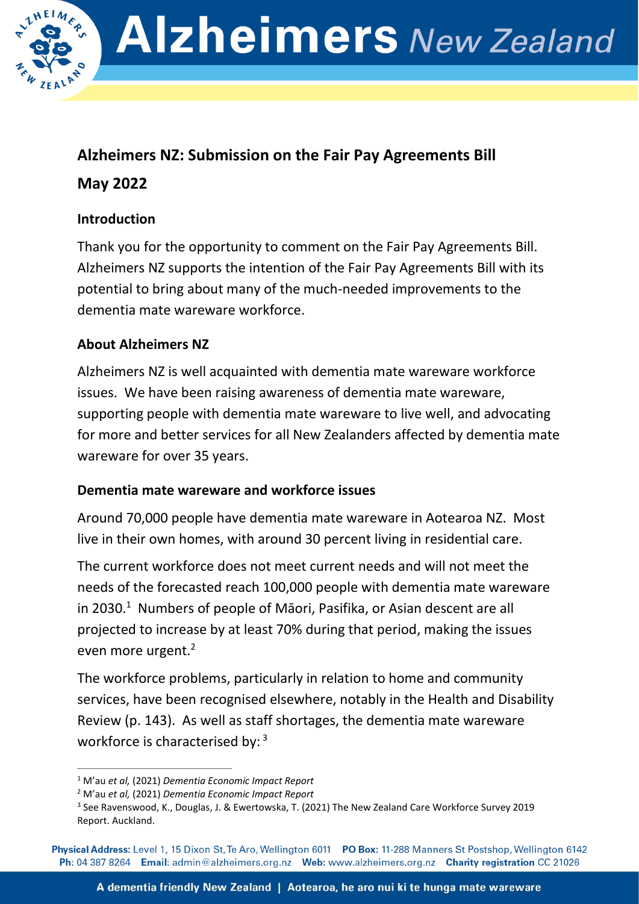

# **Alzheimers NZ: Submission on the Fair Pay Agreements Bill May 2022**

# **Introduction**

Thank you for the opportunity to comment on the Fair Pay Agreements Bill. Alzheimers NZ supports the intention of the Fair Pay Agreements Bill with its potential to bring about many of the much-needed improvements to the dementia mate wareware workforce.

# **About Alzheimers NZ**

Alzheimers NZ is well acquainted with dementia mate wareware workforce issues. We have been raising awareness of dementia mate wareware, supporting people with dementia mate wareware to live well, and advocating for more and better services for all New Zealanders affected by dementia mate wareware for over 35 years.

## **Dementia mate wareware and workforce issues**

Around 70,000 people have dementia mate wareware in Aotearoa NZ. Most live in their own homes, with around 30 percent living in residential care.

The current workforce does not meet current needs and will not meet the needs of the forecasted reach 100,000 people with dementia mate wareware in 2030.<sup>1</sup> Numbers of people of Māori, Pasifika, or Asian descent are all projected to increase by at least 70% during that period, making the issues even more urgent.<sup>2</sup>

The workforce problems, particularly in relation to home and community services, have been recognised elsewhere, notably in the Health and Disability Review (p. 143). As well as staff shortages, the dementia mate wareware workforce is characterised by: <sup>3</sup>

<sup>1</sup> M'au *et al,* (2021) *Dementia Economic Impact Report*

<sup>2</sup> M'au *et al,* (2021) *Dementia Economic Impact Report*

<sup>&</sup>lt;sup>3</sup> See Ravenswood, K., Douglas, J. & Ewertowska, T. (2021) The New Zealand Care Workforce Survey 2019 Report. Auckland.

Physical Address: Level 1, 15 Dixon St, Te Aro, Wellington 6011 PO Box: 11-288 Manners St Postshop, Wellington 6142 Ph: 04 387 8264 Email: admin@alzheimers.org.nz Web: www.alzheimers.org.nz Charity registration CC 21026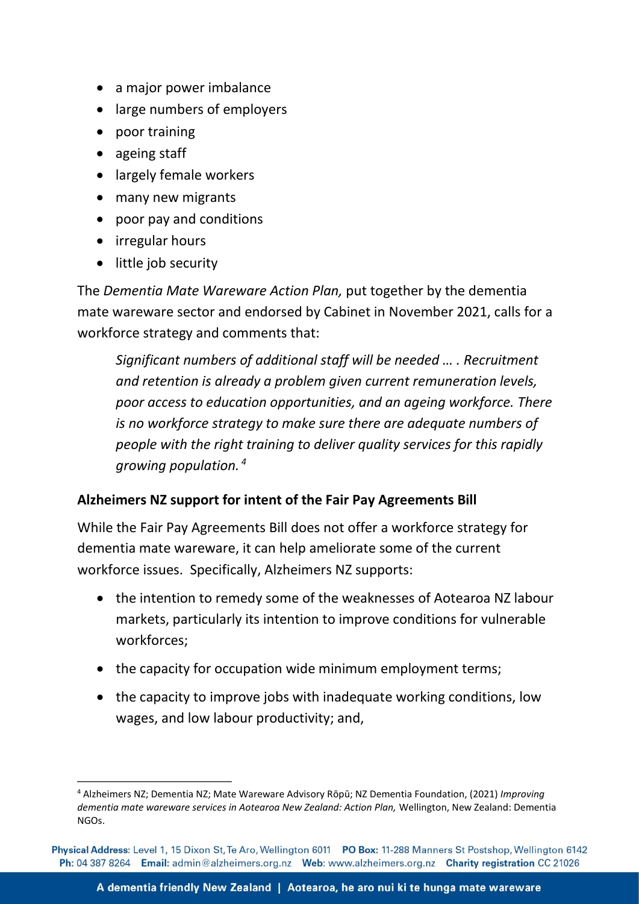- a major power imbalance
- large numbers of employers
- poor training
- ageing staff
- largely female workers
- many new migrants
- poor pay and conditions
- irregular hours
- little job security

The *Dementia Mate Wareware Action Plan,* put together by the dementia mate wareware sector and endorsed by Cabinet in November 2021, calls for a workforce strategy and comments that:

*Significant numbers of additional staff will be needed … . Recruitment and retention is already a problem given current remuneration levels, poor access to education opportunities, and an ageing workforce. There is no workforce strategy to make sure there are adequate numbers of people with the right training to deliver quality services for this rapidly growing population. <sup>4</sup>*

### **Alzheimers NZ support for intent of the Fair Pay Agreements Bill**

While the Fair Pay Agreements Bill does not offer a workforce strategy for dementia mate wareware, it can help ameliorate some of the current workforce issues. Specifically, Alzheimers NZ supports:

- the intention to remedy some of the weaknesses of Aotearoa NZ labour markets, particularly its intention to improve conditions for vulnerable workforces;
- the capacity for occupation wide minimum employment terms;
- the capacity to improve jobs with inadequate working conditions, low wages, and low labour productivity; and,

<sup>4</sup> Alzheimers NZ; Dementia NZ; Mate Wareware Advisory Rōpū; NZ Dementia Foundation, (2021) *Improving dementia mate wareware services in Aotearoa New Zealand: Action Plan,* Wellington, New Zealand: Dementia NGOs.

Physical Address: Level 1, 15 Dixon St, Te Aro, Wellington 6011 PO Box: 11-288 Manners St Postshop, Wellington 6142 Ph: 04 387 8264 Email: admin@alzheimers.org.nz Web: www.alzheimers.org.nz Charity registration CC 21026